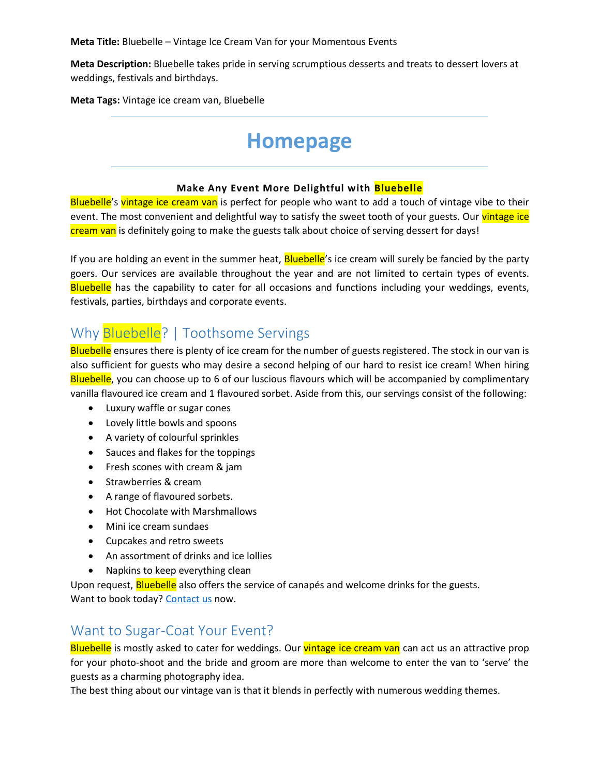**Meta Description:** Bluebelle takes pride in serving scrumptious desserts and treats to dessert lovers at weddings, festivals and birthdays.

**Meta Tags:** Vintage ice cream van, Bluebelle

# **Homepage**

### **Make Any Event More Delightful with Bluebelle**

Bluebelle's vintage ice cream van is perfect for people who want to add a touch of vintage vibe to their event. The most convenient and delightful way to satisfy the sweet tooth of your guests. Our vintage ice cream van is definitely going to make the guests talk about choice of serving dessert for days!

If you are holding an event in the summer heat, **Bluebelle'**s ice cream will surely be fancied by the party goers. Our services are available throughout the year and are not limited to certain types of events. Bluebelle has the capability to cater for all occasions and functions including your weddings, events, festivals, parties, birthdays and corporate events.

### Why Bluebelle? | Toothsome Servings

Bluebelle ensures there is plenty of ice cream for the number of guests registered. The stock in our van is also sufficient for guests who may desire a second helping of our hard to resist ice cream! When hiring Bluebelle, you can choose up to 6 of our luscious flavours which will be accompanied by complimentary vanilla flavoured ice cream and 1 flavoured sorbet. Aside from this, our servings consist of the following:

- Luxury waffle or sugar cones
- Lovely little bowls and spoons
- A variety of colourful sprinkles
- Sauces and flakes for the toppings
- Fresh scones with cream & jam
- Strawberries & cream
- A range of flavoured sorbets.
- Hot Chocolate with Marshmallows
- Mini ice cream sundaes
- Cupcakes and retro sweets
- An assortment of drinks and ice lollies
- Napkins to keep everything clean

Upon request, **Bluebelle** also offers the service of canapés and welcome drinks for the guests. Want to book today? [Contact us](http://archtechitsols.com/bluebelle/contact/) now.

### Want to Sugar-Coat Your Event?

Bluebelle is mostly asked to cater for weddings. Our vintage ice cream van can act us an attractive prop for your photo-shoot and the bride and groom are more than welcome to enter the van to 'serve' the guests as a charming photography idea.

The best thing about our vintage van is that it blends in perfectly with numerous wedding themes.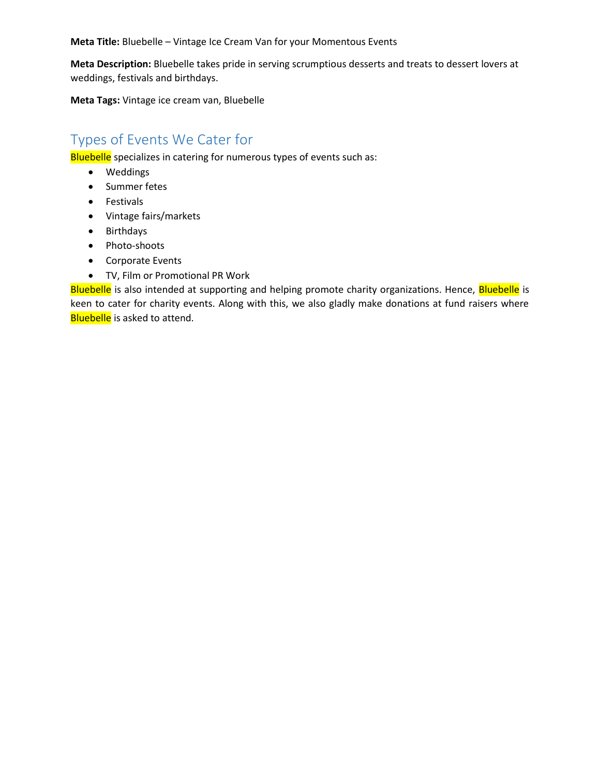**Meta Description:** Bluebelle takes pride in serving scrumptious desserts and treats to dessert lovers at weddings, festivals and birthdays.

**Meta Tags:** Vintage ice cream van, Bluebelle

### Types of Events We Cater for

Bluebelle specializes in catering for numerous types of events such as:

- Weddings
- Summer fetes
- Festivals
- Vintage fairs/markets
- Birthdays
- Photo-shoots
- Corporate Events
- TV, Film or Promotional PR Work

Bluebelle is also intended at supporting and helping promote charity organizations. Hence, Bluebelle is keen to cater for charity events. Along with this, we also gladly make donations at fund raisers where **Bluebelle** is asked to attend.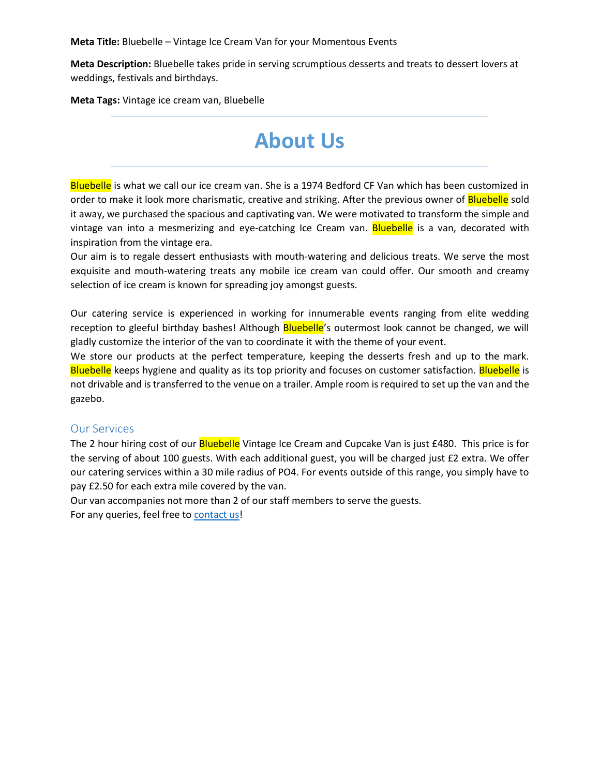**Meta Description:** Bluebelle takes pride in serving scrumptious desserts and treats to dessert lovers at weddings, festivals and birthdays.

**Meta Tags:** Vintage ice cream van, Bluebelle

# **About Us**

Bluebelle is what we call our ice cream van. She is a 1974 Bedford CF Van which has been customized in order to make it look more charismatic, creative and striking. After the previous owner of **Bluebelle** sold it away, we purchased the spacious and captivating van. We were motivated to transform the simple and vintage van into a mesmerizing and eye-catching Ice Cream van. Bluebelle is a van, decorated with inspiration from the vintage era.

Our aim is to regale dessert enthusiasts with mouth-watering and delicious treats. We serve the most exquisite and mouth-watering treats any mobile ice cream van could offer. Our smooth and creamy selection of ice cream is known for spreading joy amongst guests.

Our catering service is experienced in working for innumerable events ranging from elite wedding reception to gleeful birthday bashes! Although **Bluebelle**'s outermost look cannot be changed, we will gladly customize the interior of the van to coordinate it with the theme of your event.

We store our products at the perfect temperature, keeping the desserts fresh and up to the mark. Bluebelle keeps hygiene and quality as its top priority and focuses on customer satisfaction. Bluebelle is not drivable and is transferred to the venue on a trailer. Ample room is required to set up the van and the gazebo.

### Our Services

The 2 hour hiring cost of our **Bluebelle** Vintage Ice Cream and Cupcake Van is just £480. This price is for the serving of about 100 guests. With each additional guest, you will be charged just £2 extra. We offer our catering services within a 30 mile radius of PO4. For events outside of this range, you simply have to pay £2.50 for each extra mile covered by the van.

Our van accompanies not more than 2 of our staff members to serve the guests.

For any queries, feel free to [contact us!](http://archtechitsols.com/bluebelle/contact/)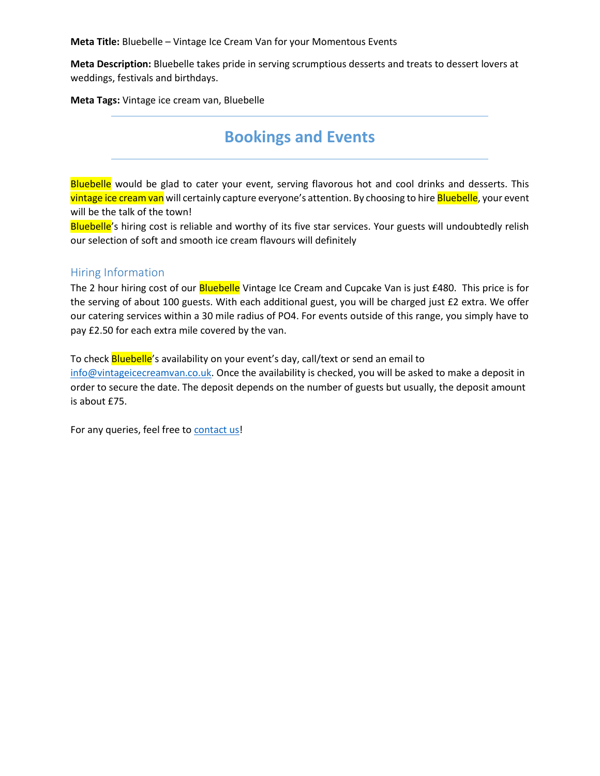**Meta Description:** Bluebelle takes pride in serving scrumptious desserts and treats to dessert lovers at weddings, festivals and birthdays.

**Meta Tags:** Vintage ice cream van, Bluebelle

## **Bookings and Events**

Bluebelle would be glad to cater your event, serving flavorous hot and cool drinks and desserts. This vintage ice cream van will certainly capture everyone's attention. By choosing to hire Bluebelle, your event will be the talk of the town!

Bluebelle's hiring cost is reliable and worthy of its five star services. Your guests will undoubtedly relish our selection of soft and smooth ice cream flavours will definitely

### Hiring Information

The 2 hour hiring cost of our **Bluebelle** Vintage Ice Cream and Cupcake Van is just £480. This price is for the serving of about 100 guests. With each additional guest, you will be charged just £2 extra. We offer our catering services within a 30 mile radius of PO4. For events outside of this range, you simply have to pay £2.50 for each extra mile covered by the van.

To check **Bluebelle**'s availability on your event's day, call/text or send an email to [info@vintageicecreamvan.co.uk.](mailto:info@vintageicecreamvan.co.uk) Once the availability is checked, you will be asked to make a deposit in order to secure the date. The deposit depends on the number of guests but usually, the deposit amount is about £75.

For any queries, feel free to [contact us!](http://archtechitsols.com/bluebelle/contact/)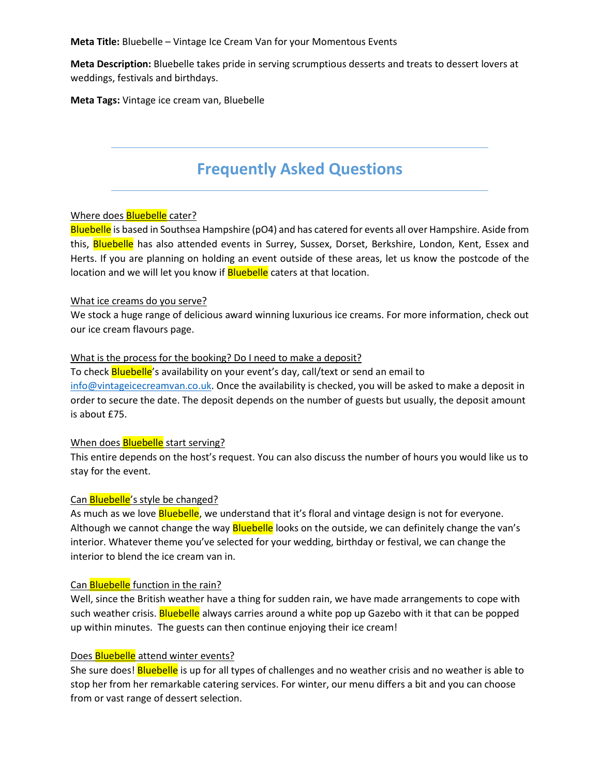**Meta Description:** Bluebelle takes pride in serving scrumptious desserts and treats to dessert lovers at weddings, festivals and birthdays.

**Meta Tags:** Vintage ice cream van, Bluebelle

## **Frequently Asked Questions**

### Where does **Bluebelle** cater?

Bluebelle is based in Southsea Hampshire (pO4) and has catered for events all over Hampshire. Aside from this, Bluebelle has also attended events in Surrey, Sussex, Dorset, Berkshire, London, Kent, Essex and Herts. If you are planning on holding an event outside of these areas, let us know the postcode of the location and we will let you know if **Bluebelle** caters at that location.

### What ice creams do you serve?

We stock a huge range of delicious award winning luxurious ice creams. For more information, check out our ice cream flavours page.

### What is the process for the booking? Do I need to make a deposit?

To check **Bluebelle**'s availability on your event's day, call/text or send an email to  $info@vintageicecreamvan.co.uk$ . Once the availability is checked, you will be asked to make a deposit in order to secure the date. The deposit depends on the number of guests but usually, the deposit amount is about £75.

### When does **Bluebelle** start serving?

This entire depends on the host's request. You can also discuss the number of hours you would like us to stay for the event.

### Can **Bluebelle**'s style be changed?

As much as we love **Bluebelle**, we understand that it's floral and vintage design is not for everyone. Although we cannot change the way **Bluebelle** looks on the outside, we can definitely change the van's interior. Whatever theme you've selected for your wedding, birthday or festival, we can change the interior to blend the ice cream van in.

### Can **Bluebelle** function in the rain?

Well, since the British weather have a thing for sudden rain, we have made arrangements to cope with such weather crisis. Bluebelle always carries around a white pop up Gazebo with it that can be popped up within minutes. The guests can then continue enjoying their ice cream!

### Does **Bluebelle** attend winter events?

She sure does! Bluebelle is up for all types of challenges and no weather crisis and no weather is able to stop her from her remarkable catering services. For winter, our menu differs a bit and you can choose from or vast range of dessert selection.